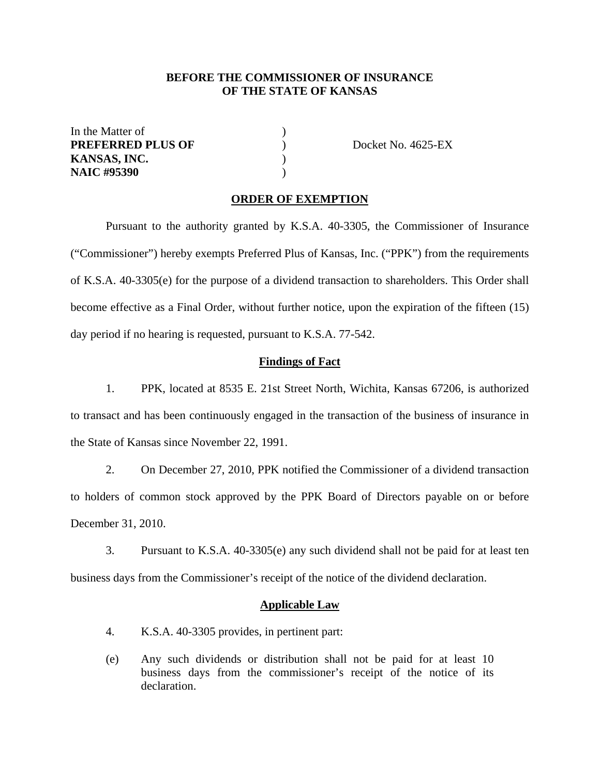# **BEFORE THE COMMISSIONER OF INSURANCE OF THE STATE OF KANSAS**

In the Matter of  $\qquad \qquad$  ) **PREFERRED PLUS OF**  $\qquad \qquad$  Docket No. 4625-EX **KANSAS, INC.** ) **NAIC #95390** )

#### **ORDER OF EXEMPTION**

Pursuant to the authority granted by K.S.A. 40-3305, the Commissioner of Insurance ("Commissioner") hereby exempts Preferred Plus of Kansas, Inc. ("PPK") from the requirements of K.S.A. 40-3305(e) for the purpose of a dividend transaction to shareholders. This Order shall become effective as a Final Order, without further notice, upon the expiration of the fifteen (15) day period if no hearing is requested, pursuant to K.S.A. 77-542.

## **Findings of Fact**

1. PPK, located at 8535 E. 21st Street North, Wichita, Kansas 67206, is authorized to transact and has been continuously engaged in the transaction of the business of insurance in the State of Kansas since November 22, 1991.

2. On December 27, 2010, PPK notified the Commissioner of a dividend transaction to holders of common stock approved by the PPK Board of Directors payable on or before December 31, 2010.

3. Pursuant to K.S.A. 40-3305(e) any such dividend shall not be paid for at least ten business days from the Commissioner's receipt of the notice of the dividend declaration.

#### **Applicable Law**

- 4. K.S.A. 40-3305 provides, in pertinent part:
- (e) Any such dividends or distribution shall not be paid for at least 10 business days from the commissioner's receipt of the notice of its declaration.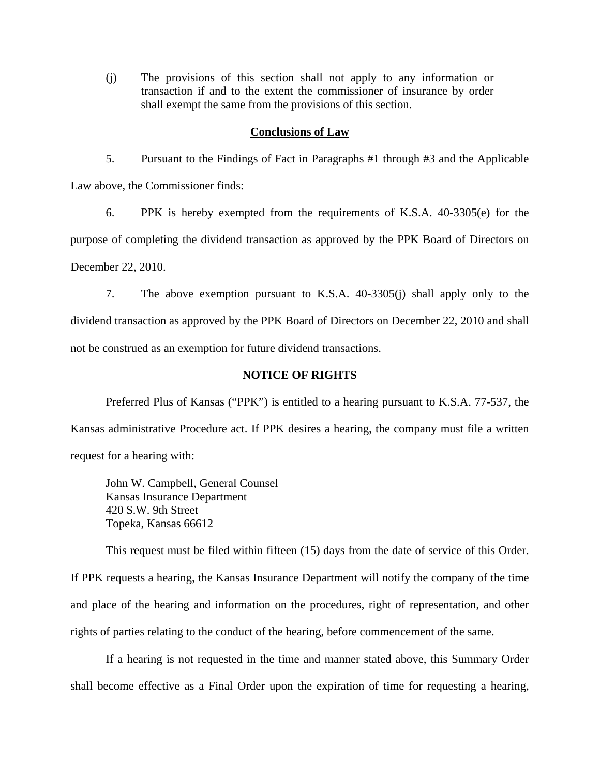(j) The provisions of this section shall not apply to any information or transaction if and to the extent the commissioner of insurance by order shall exempt the same from the provisions of this section.

#### **Conclusions of Law**

5. Pursuant to the Findings of Fact in Paragraphs #1 through #3 and the Applicable Law above, the Commissioner finds:

6. PPK is hereby exempted from the requirements of K.S.A. 40-3305(e) for the purpose of completing the dividend transaction as approved by the PPK Board of Directors on December 22, 2010.

7. The above exemption pursuant to K.S.A. 40-3305(j) shall apply only to the dividend transaction as approved by the PPK Board of Directors on December 22, 2010 and shall not be construed as an exemption for future dividend transactions.

## **NOTICE OF RIGHTS**

Preferred Plus of Kansas ("PPK") is entitled to a hearing pursuant to K.S.A. 77-537, the Kansas administrative Procedure act. If PPK desires a hearing, the company must file a written request for a hearing with:

 John W. Campbell, General Counsel Kansas Insurance Department 420 S.W. 9th Street Topeka, Kansas 66612

This request must be filed within fifteen (15) days from the date of service of this Order. If PPK requests a hearing, the Kansas Insurance Department will notify the company of the time and place of the hearing and information on the procedures, right of representation, and other rights of parties relating to the conduct of the hearing, before commencement of the same.

If a hearing is not requested in the time and manner stated above, this Summary Order shall become effective as a Final Order upon the expiration of time for requesting a hearing,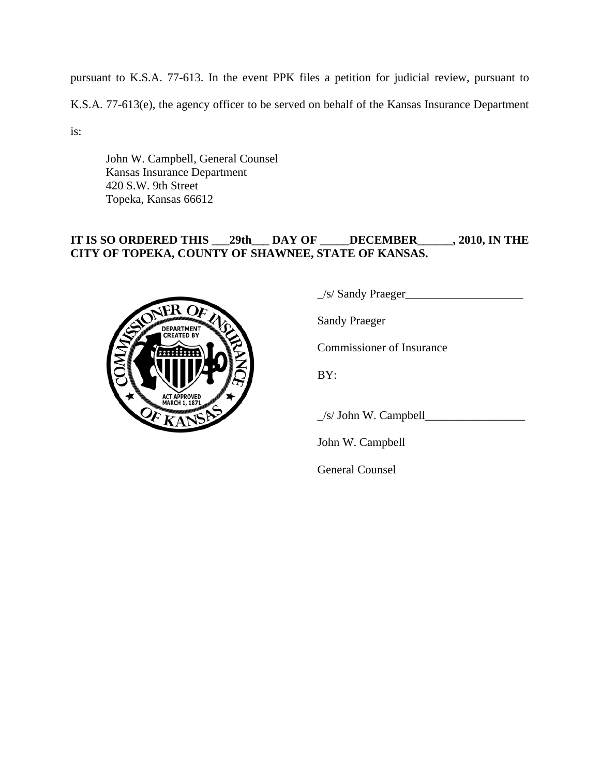pursuant to K.S.A. 77-613. In the event PPK files a petition for judicial review, pursuant to

K.S.A. 77-613(e), the agency officer to be served on behalf of the Kansas Insurance Department

is:

 John W. Campbell, General Counsel Kansas Insurance Department 420 S.W. 9th Street Topeka, Kansas 66612

# **IT IS SO ORDERED THIS \_\_\_29th\_\_\_ DAY OF \_\_\_\_\_DECEMBER\_\_\_\_\_\_, 2010, IN THE CITY OF TOPEKA, COUNTY OF SHAWNEE, STATE OF KANSAS.**



\_/s/ Sandy Praeger\_\_\_\_\_\_\_\_\_\_\_\_\_\_\_\_\_\_\_\_

Sandy Praeger

Commissioner of Insurance

BY:

 $\angle$ s/ John W. Campbell $\angle$ 

John W. Campbell

General Counsel